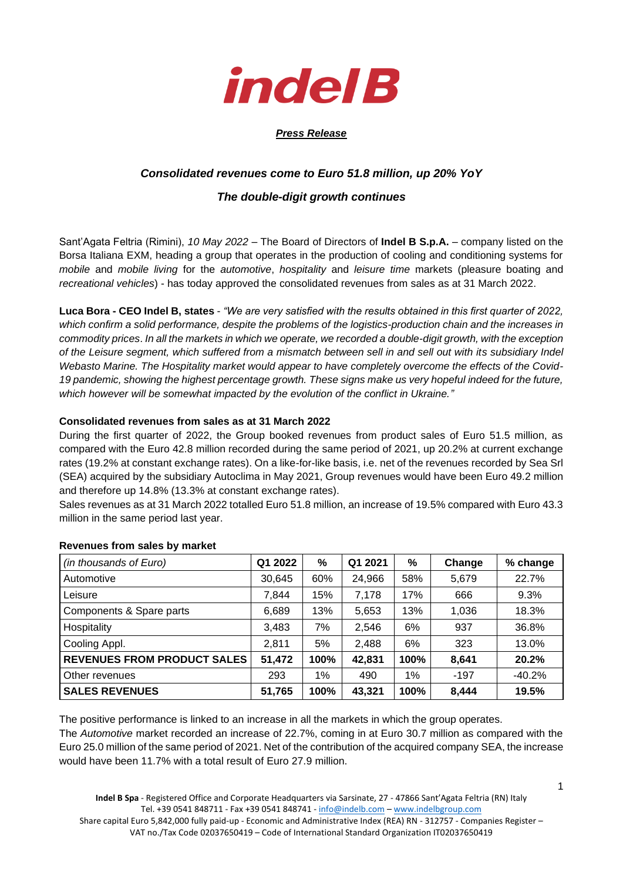

### *Press Release*

# *Consolidated revenues come to Euro 51.8 million, up 20% YoY*

## *The double-digit growth continues*

Sant'Agata Feltria (Rimini), *10 May 2022* – The Board of Directors of **Indel B S.p.A.** – company listed on the Borsa Italiana EXM, heading a group that operates in the production of cooling and conditioning systems for *mobile* and *mobile living* for the *automotive*, *hospitality* and *leisure time* markets (pleasure boating and *recreational vehicles*) - has today approved the consolidated revenues from sales as at 31 March 2022.

**Luca Bora - CEO Indel B, states** - *"We are very satisfied with the results obtained in this first quarter of 2022, which confirm a solid performance, despite the problems of the logistics-production chain and the increases in commodity prices*. *In all the markets in which we operate, we recorded a double-digit growth, with the exception of the Leisure segment, which suffered from a mismatch between sell in and sell out with its subsidiary Indel Webasto Marine. The Hospitality market would appear to have completely overcome the effects of the Covid-*19 pandemic, showing the highest percentage growth. These signs make us very hopeful indeed for the future, *which however will be somewhat impacted by the evolution of the conflict in Ukraine."*

### **Consolidated revenues from sales as at 31 March 2022**

During the first quarter of 2022, the Group booked revenues from product sales of Euro 51.5 million, as compared with the Euro 42.8 million recorded during the same period of 2021, up 20.2% at current exchange rates (19.2% at constant exchange rates). On a like-for-like basis, i.e. net of the revenues recorded by Sea Srl (SEA) acquired by the subsidiary Autoclima in May 2021, Group revenues would have been Euro 49.2 million and therefore up 14.8% (13.3% at constant exchange rates).

Sales revenues as at 31 March 2022 totalled Euro 51.8 million, an increase of 19.5% compared with Euro 43.3 million in the same period last year.

| (in thousands of Euro)             | Q1 2022 | %    | Q1 2021 | %    | Change | % change |
|------------------------------------|---------|------|---------|------|--------|----------|
| Automotive                         | 30,645  | 60%  | 24,966  | 58%  | 5,679  | 22.7%    |
| Leisure                            | 7,844   | 15%  | 7,178   | 17%  | 666    | 9.3%     |
| Components & Spare parts           | 6,689   | 13%  | 5,653   | 13%  | 1,036  | 18.3%    |
| Hospitality                        | 3,483   | 7%   | 2,546   | 6%   | 937    | 36.8%    |
| Cooling Appl.                      | 2,811   | 5%   | 2,488   | 6%   | 323    | 13.0%    |
| <b>REVENUES FROM PRODUCT SALES</b> | 51,472  | 100% | 42,831  | 100% | 8,641  | 20.2%    |
| Other revenues                     | 293     | 1%   | 490     | 1%   | $-197$ | $-40.2%$ |
| <b>SALES REVENUES</b>              | 51,765  | 100% | 43,321  | 100% | 8,444  | 19.5%    |

#### **Revenues from sales by market**

The positive performance is linked to an increase in all the markets in which the group operates. The *Automotive* market recorded an increase of 22.7%, coming in at Euro 30.7 million as compared with the Euro 25.0 million of the same period of 2021. Net of the contribution of the acquired company SEA, the increase would have been 11.7% with a total result of Euro 27.9 million.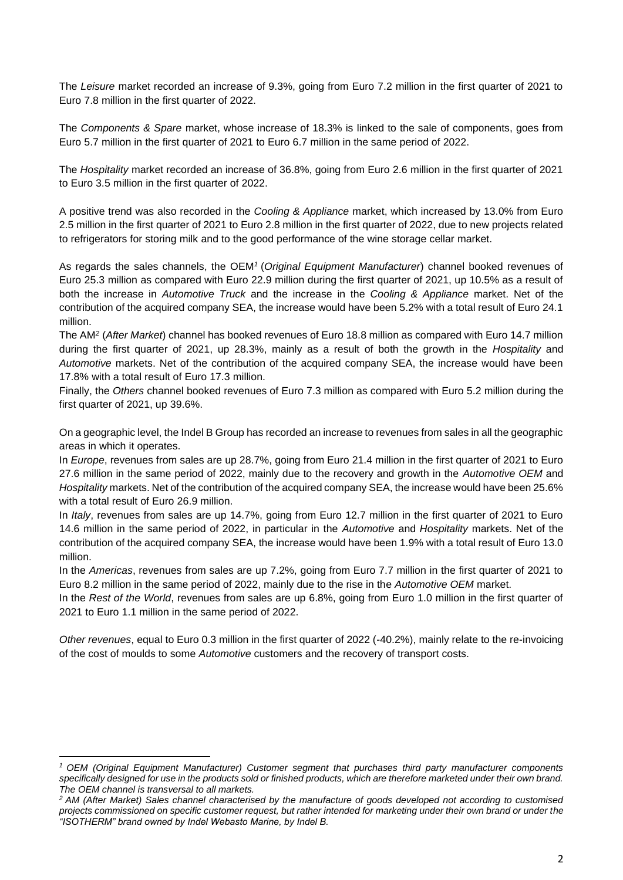The *Leisure* market recorded an increase of 9.3%, going from Euro 7.2 million in the first quarter of 2021 to Euro 7.8 million in the first quarter of 2022.

The *Components & Spare* market, whose increase of 18.3% is linked to the sale of components, goes from Euro 5.7 million in the first quarter of 2021 to Euro 6.7 million in the same period of 2022.

The *Hospitality* market recorded an increase of 36.8%, going from Euro 2.6 million in the first quarter of 2021 to Euro 3.5 million in the first quarter of 2022.

A positive trend was also recorded in the *Cooling & Appliance* market, which increased by 13.0% from Euro 2.5 million in the first quarter of 2021 to Euro 2.8 million in the first quarter of 2022, due to new projects related to refrigerators for storing milk and to the good performance of the wine storage cellar market.

As regards the sales channels, the OEM*<sup>1</sup>* (*Original Equipment Manufacturer*) channel booked revenues of Euro 25.3 million as compared with Euro 22.9 million during the first quarter of 2021, up 10.5% as a result of both the increase in *Automotive Truck* and the increase in the *Cooling & Appliance* market. Net of the contribution of the acquired company SEA, the increase would have been 5.2% with a total result of Euro 24.1 million.

The AM*<sup>2</sup>* (*After Market*) channel has booked revenues of Euro 18.8 million as compared with Euro 14.7 million during the first quarter of 2021, up 28.3%, mainly as a result of both the growth in the *Hospitality* and *Automotive* markets. Net of the contribution of the acquired company SEA, the increase would have been 17.8% with a total result of Euro 17.3 million.

Finally, the *Others* channel booked revenues of Euro 7.3 million as compared with Euro 5.2 million during the first quarter of 2021, up 39.6%.

On a geographic level, the Indel B Group has recorded an increase to revenues from sales in all the geographic areas in which it operates.

In *Europe*, revenues from sales are up 28.7%, going from Euro 21.4 million in the first quarter of 2021 to Euro 27.6 million in the same period of 2022, mainly due to the recovery and growth in the *Automotive OEM* and *Hospitality* markets. Net of the contribution of the acquired company SEA, the increase would have been 25.6% with a total result of Euro 26.9 million.

In *Italy*, revenues from sales are up 14.7%, going from Euro 12.7 million in the first quarter of 2021 to Euro 14.6 million in the same period of 2022, in particular in the *Automotive* and *Hospitality* markets. Net of the contribution of the acquired company SEA, the increase would have been 1.9% with a total result of Euro 13.0 million.

In the *Americas*, revenues from sales are up 7.2%, going from Euro 7.7 million in the first quarter of 2021 to Euro 8.2 million in the same period of 2022, mainly due to the rise in the *Automotive OEM* market.

In the *Rest of the World*, revenues from sales are up 6.8%, going from Euro 1.0 million in the first quarter of 2021 to Euro 1.1 million in the same period of 2022.

*Other revenues*, equal to Euro 0.3 million in the first quarter of 2022 (-40.2%), mainly relate to the re-invoicing of the cost of moulds to some *Automotive* customers and the recovery of transport costs.

*<sup>1</sup> OEM (Original Equipment Manufacturer) Customer segment that purchases third party manufacturer components specifically designed for use in the products sold or finished products, which are therefore marketed under their own brand. The OEM channel is transversal to all markets.* 

*<sup>2</sup> AM (After Market) Sales channel characterised by the manufacture of goods developed not according to customised projects commissioned on specific customer request, but rather intended for marketing under their own brand or under the "ISOTHERM" brand owned by Indel Webasto Marine, by Indel B.*